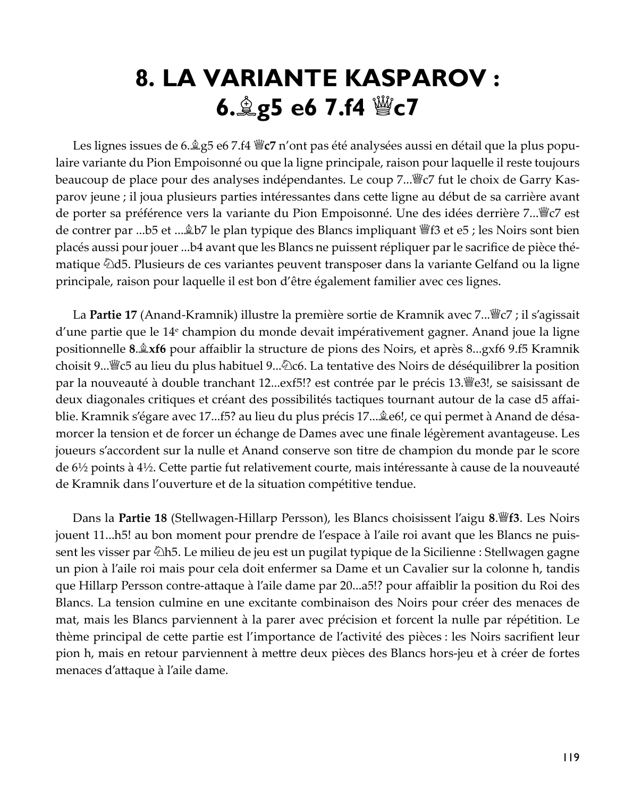# 8. LA VARIANTE KASPAROV: 6. g5 e6 7.f4 *We7*

Les lignes issues de 6. $\angle$ g5 e6 7.f4  $\angle$ g $\sim$ 7 n'ont pas été analysées aussi en détail que la plus populaire variante du Pion Empoisonné ou que la ligne principale, raison pour laquelle il reste toujours beaucoup de place pour des analyses indépendantes. Le coup 7... *s* c7 fut le choix de Garry Kasparov jeune ; il joua plusieurs parties intéressantes dans cette ligne au début de sa carrière avant de porter sa préférence vers la variante du Pion Empoisonné. Une des idées derrière 7... septe rest de contrer par ...b5 et .... \$150 le plan typique des Blancs impliquant \ff{s}\$1 et e5 ; les Noirs sont bien placés aussi pour jouer ...b4 avant que les Blancs ne puissent répliquer par le sacrifice de pièce thématique  $\triangle 45$ . Plusieurs de ces variantes peuvent transposer dans la variante Gelfand ou la ligne principale, raison pour laquelle il est bon d'être également familier avec ces lignes.

La Partie 17 (Anand-Kramnik) illustre la première sortie de Kramnik avec 7... "C7; il s'agissait d'une partie que le 14<sup>e</sup> champion du monde devait impérativement gagner. Anand joue la ligne positionnelle 8. *xf6* pour affaiblir la structure de pions des Noirs, et après 8...gxf6 9.f5 Kramnik choisit 9... su lieu du plus habituel 9... ⁄ 2c6. La tentative des Noirs de déséquilibrer la position par la nouveauté à double tranchant 12...exf5!? est contrée par le précis 13. est assissant de deux diagonales critiques et créant des possibilités tactiques tournant autour de la case d5 affai--blie. Kramnik s'égare avec 17...f5? au lieu du plus précis 17... $\triangleq$ e6!, ce qui permet à Anand de désa morcer la tension et de forcer un échange de Dames avec une finale légèrement avantageuse. Les joueurs s'accordent sur la nulle et Anand conserve son titre de champion du monde par le score de 6½ points à 4½. Cette partie fut relativement courte, mais intéressante à cause de la nouveauté de Kramnik dans l'ouverture et de la situation compétitive tendue.

Dans la Partie 18 (Stellwagen-Hillarp Persson), les Blancs choisissent l'aigu 8. f3. Les Noirs jouent 11...h5! au bon moment pour prendre de l'espace à l'aile roi avant que les Blancs ne puissent les visser par  $\triangle$ h5. Le milieu de jeu est un pugilat typique de la Sicilienne : Stellwagen gagne un pion à l'aile roi mais pour cela doit enfermer sa Dame et un Cavalier sur la colonne h, tandis que Hillarp Persson contre-attaque à l'aile dame par 20...a5!? pour affaiblir la position du Roi des Blancs. La tension culmine en une excitante combinaison des Noirs pour créer des menaces de mat, mais les Blancs parviennent à la parer avec précision et forcent la nulle par répétition. Le thème principal de cette partie est l'importance de l'activité des pièces : les Noirs sacrifient leur pion h, mais en retour parviennent à mettre deux pièces des Blancs hors-jeu et à créer de fortes menaces d'attaque à l'aile dame.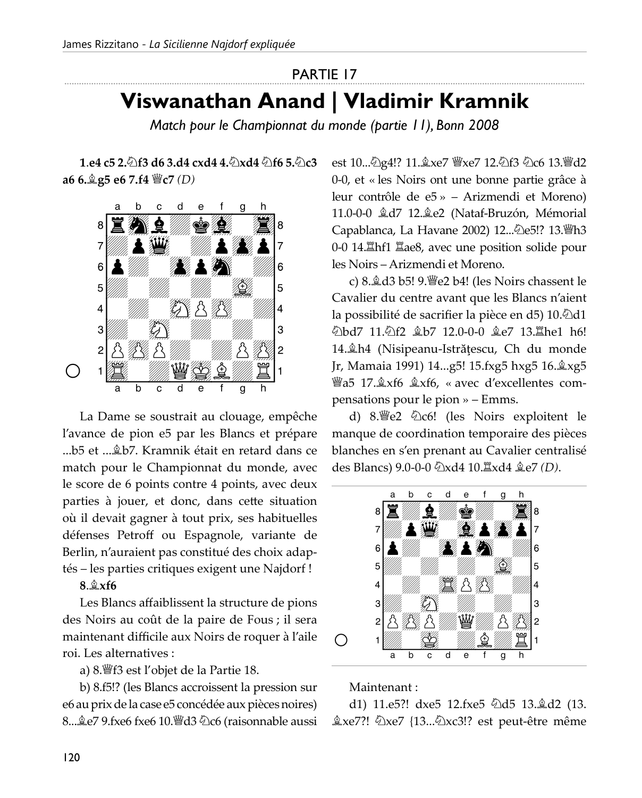#### **PARTIE 17**

## Viswanathan Anand | Vladimir Kramnik

Match pour le Championnat du monde (partie 11), Bonn 2008

1.e4 c5 2. f3 d6 3.d4 cxd4 4. Axd4 h6 5. hc3 a6 6.  $25 e6$  7.f4  $\degree$ c7 (D)



La Dame se soustrait au clouage, empêche l'avance de pion e5 par les Blancs et prépare ...b5 et ... b5 et ... kramnik était en retard dans ce match pour le Championnat du monde, avec le score de 6 points contre 4 points, avec deux parties à jouer, et donc, dans cette situation où il devait gagner à tout prix, ses habituelles défenses Petroff ou Espagnole, variante de Berlin, n'auraient pas constitué des choix adaptés - les parties critiques exigent une Najdorf!

#### $8.\triangle x f6$

Les Blancs affaiblissent la structure de pions des Noirs au coût de la paire de Fous ; il sera maintenant difficile aux Noirs de roquer à l'aile roi. Les alternatives :

a) 8. f3 est l'objet de la Partie 18.

b) 8.f5!? (les Blancs accroissent la pression sur e6 au prix de la case e5 concédée aux pièces noires) 8... Le7 9.fxe6 fxe6 10. ld3 2c6 (raisonnable aussi est 10... 2g4!? 11. xe7 彎xe7 12. 2f3 2c6 13. 彎d2 0-0, et « les Noirs ont une bonne partie grâce à leur contrôle de e5 » – Arizmendi et Moreno) 11.0-0-0  $\&$ d7 12. $\&$ e2 (Nataf-Bruzón, Mémorial Capablanca, La Havane 2002) 12... De5!? 13. h3 0-0 14. Latinf1  $\Xi$ ae8, avec une position solide pour les Noirs - Arizmendi et Moreno.

c) 8. d3 b5! 9. See 2 b4! (les Noirs chassent le Cavalier du centre avant que les Blancs n'aient la possibilité de sacrifier la pièce en d5) 10. [2d1 公bd7 11.公f2 鱼b7 12.0-0-0 鱼e7 13.置he1 h6! 14. Åh4 (Nisipeanu-Istrățescu, Ch du monde Jr, Mamaia 1991) 14...g5! 15.fxg5 hxg5 16. xg5 *ia*5 17. xf6  $\&$ xf6, « avec d'excellentes compensations pour le pion » – Emms.

d) 8. e2 2c6! (les Noirs exploitent le manque de coordination temporaire des pièces blanches en s'en prenant au Cavalier centralisé des Blancs) 9.0-0-0 公xd4 10. Lxd4 奠e7 (D).



Maintenant:

d1) 11.e5?! dxe5 12.fxe5  $\triangle$ d5 13. $\triangle$ d2 (13. Åxe7?! ②xe7 {13...②xc3!? est peut-être même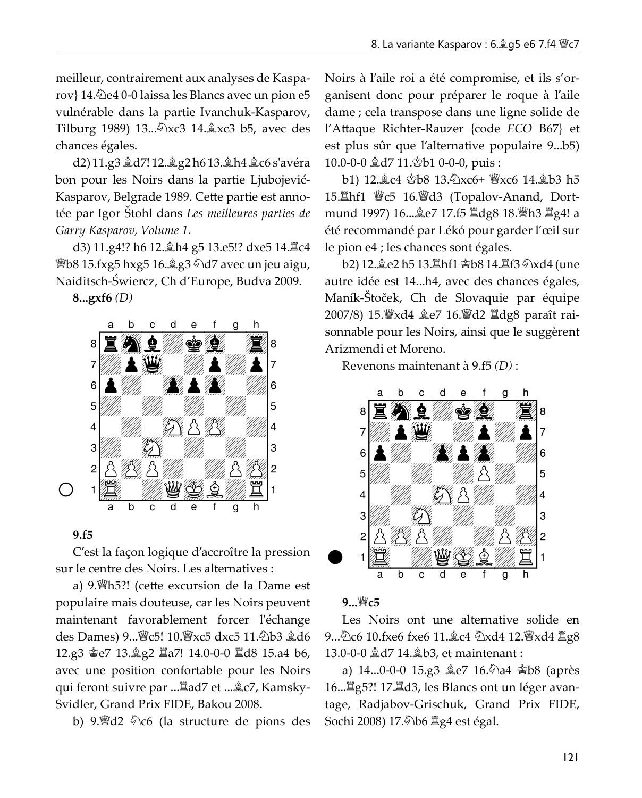meilleur, contrairement aux analyses de Kasparov} 14. De4 0-0 laissa les Blancs avec un pion e5 vulnérable dans la partie Ivanchuk-Kasparov, Tilburg 1989) 13... 2xc3 14. xc3 b5, avec des chances égales.

d2) 11.g3 &d7! 12. g2 h6 13. Ah4 &c6 s'avéra bon pour les Noirs dans la partie Ljubojević-Kasparov, Belgrade 1989. Cette partie est annotée par Igor Štohl dans Les meilleures parties de Garry Kasparov, Volume 1.

d3) 11.g4!? h6 12. th4 g5 13.e5!? dxe5 14. Lc4 *Wb8* 15.fxg5 hxg5 16. g3 hd7 avec un jeu aigu, Naiditsch-Świercz, Ch d'Europe, Budva 2009.

 $8...gxf6(D)$ 



#### $9. f5$

C'est la façon logique d'accroître la pression sur le centre des Noirs. Les alternatives :

a) 9. h5?! (cette excursion de la Dame est populaire mais douteuse, car les Noirs peuvent maintenant favorablement forcer l'échange des Dames) 9... *section* 10. section 3 and 5 and 5 and 5 and 5 and 6 and 5 and 6 and 5 and 6 and 5 and 6 and 6 and 6 and 6 and 6 and 6 and 6 and 6 and 6 and 6 and 6 and 6 and 6 and 6 and 6 and 6 and 6 and 6 and 6 and 6 a 12.g3 宫e7 13. g2 里a7! 14.0-0-0 里d8 15.a4 b6, avec une position confortable pour les Noirs qui feront suivre par ... Lad7 et ... & c7, Kamsky-Svidler, Grand Prix FIDE, Bakou 2008.

b) 9. de 2 仑 c6 (la structure de pions des

Noirs à l'aile roi a été compromise, et ils s'organisent donc pour préparer le roque à l'aile dame ; cela transpose dans une ligne solide de l'Attaque Richter-Rauzer {code ECO B67} et est plus sûr que l'alternative populaire 9...b5) 10.0-0-0 盒d7 11. ab1 0-0-0, puis:

b1) 12. c4 宫b8 13. 2xc6+ 曾xc6 14. gb3 h5 mund 1997) 16... $\&e$ 7 17.f5  $\&$ dg8 18. h3  $\&$ g4! a été recommandé par Lékó pour garder l'œil sur le pion e4 ; les chances sont égales.

b2) 12.奠e2 h5 13.罝hf1 홤b8 14.罝f3 公xd4 (une autre idée est 14...h4, avec des chances égales, Maník-Štoček, Ch de Slovaquie par équipe 2007/8) 15. Yxd4 ge7 16. Yd2 Idg8 paraît raisonnable pour les Noirs, ainsi que le suggèrent Arizmendi et Moreno.

Revenons maintenant à 9.f5 (D):



#### 9... *S*c5

Les Noirs ont une alternative solide en 9... ①c6 10.fxe6 fxe6 11. o2 ①xd4 12. 曾xd4 罝g8 13.0-0-0  $\&$ d7 14. $\&$ b3, et maintenant :

16... Ig5?! 17. Id3, les Blancs ont un léger avantage, Radjabov-Grischuk, Grand Prix FIDE, Sochi 2008) 17. 2b6 骂g4 est égal.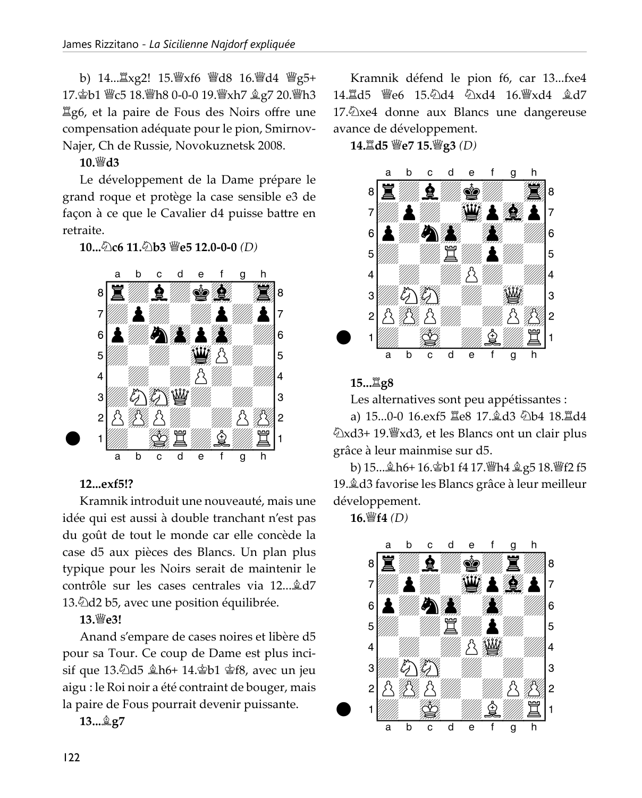b) 14... Lxg2! 15. Wxf6 Wd8 16. Wd4 Wg5+ 17. gb1 響c5 18. 響h8 0-0-0 19. 響xh7 gg7 20. 響h3 Ig6, et la paire de Fous des Noirs offre une compensation adéquate pour le pion, Smirnov-Najer, Ch de Russie, Novokuznetsk 2008.

 $10.$  \smather do 13

Le développement de la Dame prépare le grand roque et protège la case sensible e3 de façon à ce que le Cavalier d4 puisse battre en retraite.

 $10...\%$  c6 11. $\&$  b3 \epsilon 12.0-0-0 (D)



#### 12...exf5!?

Kramnik introduit une nouveauté, mais une idée qui est aussi à double tranchant n'est pas du goût de tout le monde car elle concède la case d5 aux pièces des Blancs. Un plan plus typique pour les Noirs serait de maintenir le contrôle sur les cases centrales via 12... âd7 13. Dd b5, avec une position équilibrée.

#### 13. We3!

Anand s'empare de cases noires et libère d5 pour sa Tour. Ce coup de Dame est plus incisif que 13.2d5  $\⊂>h6+14.\⊂>b1 \⊂>fs$ , avec un jeu aigu : le Roi noir a été contraint de bouger, mais la paire de Fous pourrait devenir puissante.

#### 13... <u>含g</u>7

Kramnik défend le pion f6, car 13...fxe4 14. d5 曾e6 15. d4 2xd4 16. 曾xd4 gd7 17. Dxe4 donne aux Blancs une dangereuse avance de développement.

14. d5 營e7 15. 營g3 (D)



#### 15... <u>耳g</u>8

Les alternatives sont peu appétissantes :

a) 15...0-0 16.exf5 Ie8 17. d3 2b4 18. Id4 ②xd3+ 19. wwxd3, et les Blancs ont un clair plus grâce à leur mainmise sur d5.

b) 15...ஆh6+ 16. pb1 f4 17. lh4 g g 5 18. left 2 f5 19. d3 favorise les Blancs grâce à leur meilleur développement.

16. lf4 (D)